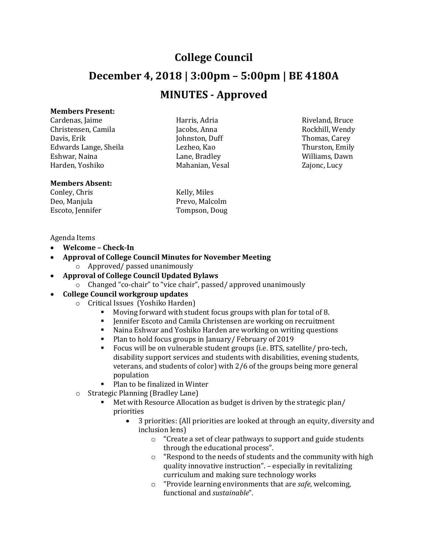# **College Council December 4, 2018 | 3:00pm – 5:00pm | BE 4180A MINUTES - Approved**

## **Members Present:**

Cardenas, Jaime **Harris, Adria** Riveland, Bruce Riveland, Bruce Christensen, Camila Jacobs, Anna Rockhill, Wendy Davis, Erik Thomas, Carey (Johnston, Duff Thomas, Carey Thomas, Carey Edwards Lange, Sheila Lezheo, Kao Thurston, Emily Eshwar, Naina Lane, Bradley Williams, Dawn

## **Members Absent:**

Conley, Chris Kelly, Miles Escoto, Jennifer

Mahanian, Vesal

Prevo, Malcolm<br>Tompson, Doug

#### Agenda Items

- **Welcome – Check-In**
- **Approval of College Council Minutes for November Meeting** o Approved/ passed unanimously
- **Approval of College Council Updated Bylaws**
	- o Changed "co-chair" to "vice chair", passed/ approved unanimously

# • **College Council workgroup updates**

- o Critical Issues (Yoshiko Harden)
	- Moving forward with student focus groups with plan for total of 8.
	- Jennifer Escoto and Camila Christensen are working on recruitment
	- Naina Eshwar and Yoshiko Harden are working on writing questions<br>• Plan to hold focus groups in January / February of 2019
	- Plan to hold focus groups in January/ February of 2019<br>Focus will be on vulnerable student groups (i.e. BTS, sat
	- Focus will be on vulnerable student groups (i.e. BTS, satellite/ pro-tech, disability support services and students with disabilities, evening students, veterans, and students of color) with 2/6 of the groups being more general population
	- Plan to be finalized in Winter
- o Strategic Planning (Bradley Lane)
	- Met with Resource Allocation as budget is driven by the strategic plan/ priorities
		- 3 priorities: (All priorities are looked at through an equity, diversity and inclusion lens)
			- o "Create a set of clear pathways to support and guide students through the educational process".
			- o "Respond to the needs of students and the community with high quality innovative instruction". – especially in revitalizing curriculum and making sure technology works
			- o "Provide learning environments that are *safe*, welcoming, functional and *sustainable*".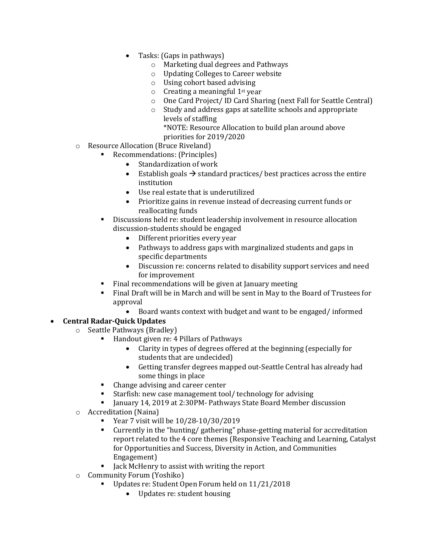- Tasks: (Gaps in pathways)
	- o Marketing dual degrees and Pathways
	- o Updating Colleges to Career website
	- o Using cohort based advising
	- $\circ$  Creating a meaningful 1<sup>st</sup> year
	- o One Card Project/ ID Card Sharing (next Fall for Seattle Central)
	- o Study and address gaps at satellite schools and appropriate levels of staffing \*NOTE: Resource Allocation to build plan around above priorities for 2019/2020
- o Resource Allocation (Bruce Riveland)
	- Recommendations: (Principles)
		- Standardization of work
		- Establish goals  $\rightarrow$  standard practices/ best practices across the entire institution
		- Use real estate that is underutilized
		- Prioritize gains in revenue instead of decreasing current funds or reallocating funds
	- Discussions held re: student leadership involvement in resource allocation discussion-students should be engaged
		- Different priorities every year
		- Pathways to address gaps with marginalized students and gaps in specific departments
		- Discussion re: concerns related to disability support services and need for improvement
	- Final recommendations will be given at January meeting
	- Final Draft will be in March and will be sent in May to the Board of Trustees for approval
		- Board wants context with budget and want to be engaged/ informed

# • **Central Radar-Quick Updates**

- o Seattle Pathways (Bradley)
	- Handout given re: 4 Pillars of Pathways
		- Clarity in types of degrees offered at the beginning (especially for students that are undecided)
		- Getting transfer degrees mapped out-Seattle Central has already had some things in place
	- Change advising and career center<br>• Starfish: new case management too
	- Starfish: new case management tool/ technology for advising<br>■ Ianuary 14, 2019 at 2:30PM- Pathways State Board Member d
	- January 14, 2019 at 2:30PM- Pathways State Board Member discussion
- o Accreditation (Naina)
	- Year 7 visit will be  $10/28-10/30/2019$ <br>Currently in the "hunting/gathering" p
	- Currently in the "hunting/ gathering" phase-getting material for accreditation report related to the 4 core themes (Responsive Teaching and Learning, Catalyst for Opportunities and Success, Diversity in Action, and Communities Engagement)
	- I lack McHenry to assist with writing the report
- o Community Forum (Yoshiko)
	- Updates re: Student Open Forum held on 11/21/2018
		- Updates re: student housing